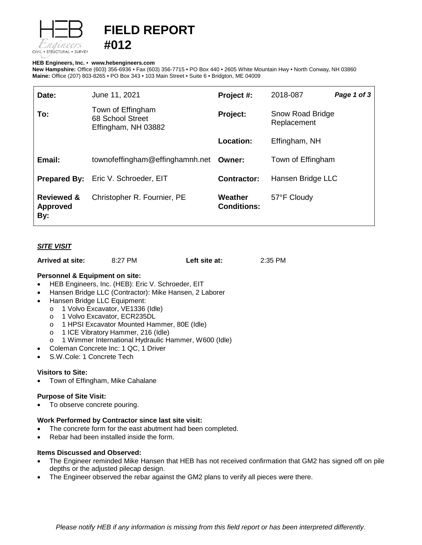

# **FIELD REPORT #012**

# **HEB Engineers, Inc.** • **[www.hebengineer](http://www.hebengineers.com/)s.com**

**New Hampshire:** Office (603) 356-6936 • Fax (603) 356-7715 • PO Box 440 • 2605 White Mountain Hwy • North Conway, NH 03860 **Maine:** Office (207) 803-8265 • PO Box 343 • 103 Main Street • Suite 6 • Bridgton, ME 04009

| Date:                                           | June 11, 2021                                                | Project #:                    | 2018-087                               | Page 1 of 3 |
|-------------------------------------------------|--------------------------------------------------------------|-------------------------------|----------------------------------------|-------------|
| To:                                             | Town of Effingham<br>68 School Street<br>Effingham, NH 03882 | Project:                      | <b>Snow Road Bridge</b><br>Replacement |             |
|                                                 |                                                              | <b>Location:</b>              | Effingham, NH                          |             |
| Email:                                          | townofeffingham@effinghamnh.net Owner:                       |                               | Town of Effingham                      |             |
|                                                 | <b>Prepared By:</b> Eric V. Schroeder, EIT                   | <b>Contractor:</b>            | Hansen Bridge LLC                      |             |
| <b>Reviewed &amp;</b><br><b>Approved</b><br>By: | Christopher R. Fournier, PE                                  | Weather<br><b>Conditions:</b> | 57°F Cloudy                            |             |

# *SITE VISIT*

| Arrived at site: | 8:27 PM | Left site at: | 2:35 PM |
|------------------|---------|---------------|---------|
|------------------|---------|---------------|---------|

# **Personnel & Equipment on site:**

- HEB Engineers, Inc. (HEB): Eric V. Schroeder, EIT
- Hansen Bridge LLC (Contractor): Mike Hansen, 2 Laborer
- Hansen Bridge LLC Equipment:
	- o 1 Volvo Excavator, VE1336 (Idle)<br>o 1 Volvo Excavator, ECR235DL
	- 1 Volvo Excavator, ECR235DL
	- o 1 HPSI Excavator Mounted Hammer, 80E (Idle)
	- o 1 ICE Vibratory Hammer, 216 (Idle)
	- o 1 Wimmer International Hydraulic Hammer, W600 (Idle)
- Coleman Concrete Inc: 1 QC, 1 Driver
- S.W.Cole: 1 Concrete Tech

## **Visitors to Site:**

• Town of Effingham, Mike Cahalane

## **Purpose of Site Visit:**

To observe concrete pouring.

## **Work Performed by Contractor since last site visit:**

- The concrete form for the east abutment had been completed.
- Rebar had been installed inside the form.

## **Items Discussed and Observed:**

- The Engineer reminded Mike Hansen that HEB has not received confirmation that GM2 has signed off on pile depths or the adjusted pilecap design.
- The Engineer observed the rebar against the GM2 plans to verify all pieces were there.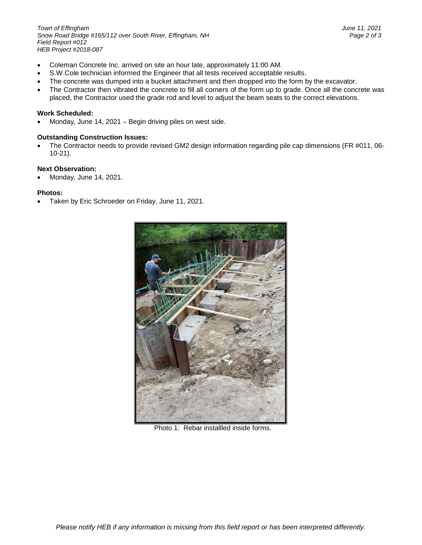*Town of Effingham June 11, 2021 Snow Road Bridge #165/112 over South River, Effingham, NH Page 2 of 3 Field Report #012 HEB Project #2018-087*

- Coleman Concrete Inc. arrived on site an hour late, approximately 11:00 AM.
- S.W.Cole technician informed the Engineer that all tests received acceptable results.
- The concrete was dumped into a bucket attachment and then dropped into the form by the excavator.
- The Contractor then vibrated the concrete to fill all corners of the form up to grade. Once all the concrete was placed, the Contractor used the grade rod and level to adjust the beam seats to the correct elevations.

#### **Work Scheduled:**

• Monday, June 14, 2021 – Begin driving piles on west side.

#### **Outstanding Construction Issues:**

• The Contractor needs to provide revised GM2 design information regarding pile cap dimensions (FR #011, 06- 10-21).

#### **Next Observation:**

• Monday, June 14, 2021.

#### **Photos:**

• Taken by Eric Schroeder on Friday, June 11, 2021.



Photo 1: Rebar installled inside forms.